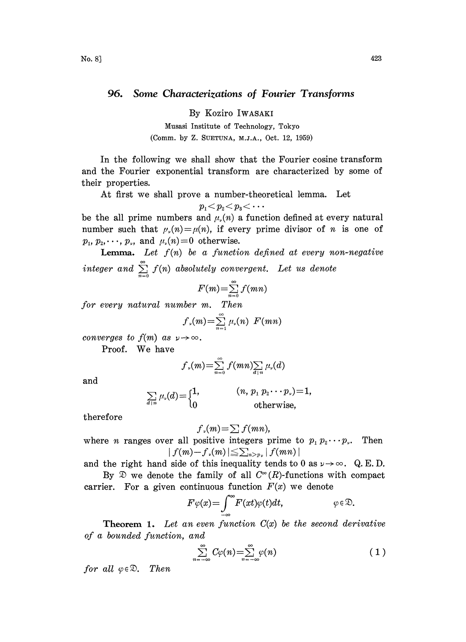## 96. Some Characterizations of Fourier Transforms

By Koziro IWASAKI

Musasi Institute of Technology, Tokyo (Comm. by Z. SUETUNA, M.J.A., Oct. 12, 1959)

In the following we shall show that the Fourier cosine transform and the Fourier exponential transform are characterized by some of their properties.

At first we shall prove a number-theoretical lemma. Let

$$
p_{\scriptscriptstyle 1} \!\! < \! p_{\scriptscriptstyle 2} \!\! < \! p_{\scriptscriptstyle 3} \!\! < \! \cdots
$$

be the all prime numbers and  $\mu_{\nu}(n)$  a function defined at every natural number such that  $\mu_{\nu}(n) = \mu(n)$ , if every prime divisor of n is one of  $p_1, p_2, \dots, p_r$ , and  $\mu_r(n)=0$  otherwise.

**Lemma.** Let  $f(n)$  be a function defined at every non-negative integer and  $\sum\limits_{n=0}f(n)$  absolutely convergent. Let us denote

$$
F(m) = \sum_{n=0}^{\infty} f(mn)
$$

for every natural number m. Then

$$
f_{\nu}(m) = \sum_{n=1}^{\infty} \mu_{\nu}(n) \ F(mn)
$$

converges to  $f(m)$  as  $\nu \rightarrow \infty$ .

Proof. We have

$$
f_{\nu}(m) = \sum_{n=0}^{\infty} f(mn) \sum_{d \mid n} \mu_{\nu}(d)
$$

and

$$
\sum_{d|n} \mu_{\nu}(d) = \begin{cases} 1, & (n, p_1 p_2 \cdots p_{\nu}) = 1, \\ 0 & \text{otherwise,} \end{cases}
$$

therefore

$$
f_{\nu}(m) = \sum f(mn),
$$

where *n* ranges over all positive integers prime to  $p_1 p_2 \cdots p_r$ . Then  $|f(m)-f_{\nu}(m)| \leq \sum_{n>p_{\nu}} |f(mn)|$ 

and the right hand side of this inequality tends to 0 as  $\nu \rightarrow \infty$ . Q.E.D.

By  $\mathfrak{D}$  we denote the family of all  $C^{\infty}(R)$ -functions with compact carrier. For a given continuous function  $F(x)$  we denote

$$
F\varphi(x) = \int_{-\infty}^{\infty} F(xt)\varphi(t)dt, \qquad \qquad \varphi \in \mathfrak{D}.
$$

**Theorem 1.** Let an even function  $C(x)$  be the second derivative of a bounded function, and

$$
\sum_{n=-\infty}^{\infty} C\varphi(n) = \sum_{n=-\infty}^{\infty} \varphi(n) \tag{1}
$$

for all  $\varphi \in \mathfrak{D}$ . Then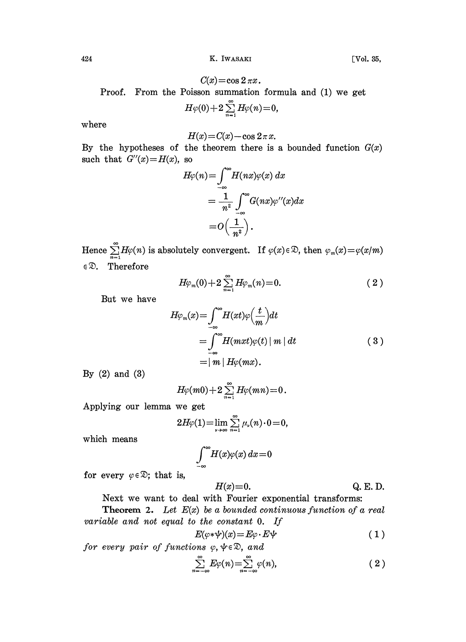424 K. IWASAKI [Vol. 35,

$$
C(x) = \cos 2 \pi x.
$$

Proof. From the Poisson summation formula and (1) we get

$$
H\varphi(0)+2\sum_{n=1}^{\infty}H\varphi(n)\!=\!0,
$$

where

$$
H(x) = C(x) - \cos 2\pi x.
$$

By the hypotheses of the theorem there is a bounded function  $G(x)$ such that  $G''(x) = H(x)$ , so

$$
H\varphi(n) = \int_{-\infty}^{\infty} H(nx)\varphi(x) dx
$$
  
= 
$$
\frac{1}{n^2} \int_{-\infty}^{\infty} G(nx)\varphi''(x) dx
$$
  
= 
$$
O\left(\frac{1}{n^2}\right).
$$

Hence  $\sum_{n=1}^{\infty} H\varphi(n)$  is absolutely convergent. If  $\varphi(x)\in\mathfrak{D}$ , then  $\varphi_m(x)=\varphi(x/m)$ Therefore

$$
H\varphi_m(0)+2\sum_{n=1}^{\infty}H\varphi_m(n)=0.\hspace{1.5cm} (2\hspace{0.2cm})
$$

But we have

$$
H\varphi_m(x) = \int_{-\infty}^{\infty} H(xt)\varphi\left(\frac{t}{m}\right)dt
$$
  
= 
$$
\int_{-\infty}^{\infty} H(mxt)\varphi(t) |m| dt
$$
  
= 
$$
|m| H\varphi(mx).
$$
 (3)

By (2) and (3)

$$
H\varphi(m0)+2\sum_{n=1}^{\infty}H\varphi(mn)=0.
$$

Applying our lemma we get

$$
2H\varphi(1)=\lim_{\nu\to\infty}\sum_{n=1}^{\infty}\mu_{\nu}(n)\cdot 0=0,
$$

which means

$$
\int_{-\infty}^{\infty} H(x)\varphi(x)\,dx\!=\!0
$$

for every  $\varphi \in \mathcal{D}$ ; that is,

$$
H(x) \equiv 0. \qquad \qquad Q. \text{ E. D.}
$$

Next we want to deal with Fourier exponential transforms:

**Theorem 2.** Let  $E(x)$  be a bounded continuous function of a real variable and not equal to the constant O. If

$$
E(\varphi *\psi)(x) = E\varphi \cdot E\psi \tag{1}
$$

for every pair of functions  $\varphi, \psi \in \mathcal{D}$ , and

$$
\sum_{n=-\infty}^{\infty} E\varphi(n) = \sum_{n=-\infty}^{\infty} \varphi(n), \tag{2}
$$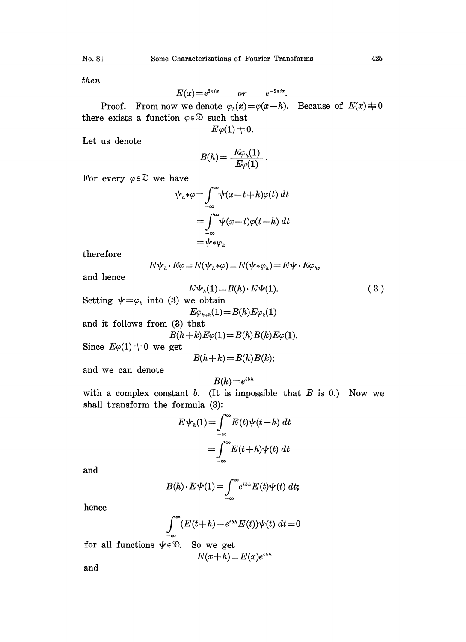then

$$
E(x) = e^{2\pi ix} \qquad or \qquad e^{-2\pi ix}.
$$

Proof. From now we denote  $\varphi_n(x) = \varphi(x-h)$ . Because of  $E(x) \neq 0$ there exists a function  $\varphi \in \mathcal{D}$  such that  $E\varphi(1) \neq 0.$ 

Let us denote

$$
B(h)\mathcal{=}\ \frac{E\varphi_{h}(1)}{E\varphi(1)}\,.
$$

For every  $\varphi \in \mathcal{D}$  we have

$$
\psi_h * \varphi = \int_{-\infty}^{\infty} \psi(x - t + h)\varphi(t) dt
$$
  
= 
$$
\int_{-\infty}^{\infty} \psi(x - t)\varphi(t - h) dt
$$
  
= 
$$
\psi * \varphi_h
$$

therefore

$$
E\psi_h \cdot E\varphi = E(\psi_h * \varphi) = E(\psi * \varphi_h) = E\psi \cdot E\varphi_h,
$$

and hence

$$
E\psi_n(1) = B(h) \cdot E\psi(1). \tag{3}
$$

Setting  $\psi = \varphi_k$  into (3) we obtain  $E\varphi_{k+h}(1) = B(h)E\varphi_{k}(1)$ 

and it follows from (3) that

$$
B(h+k)E\varphi(1) = B(h)B(k)E\varphi(1).
$$

Since  $E\varphi(1) \neq 0$  we get

$$
B(h+k) = B(h)B(k);
$$

and we can denote

$$
B(h)\!=\!e^{ibh}
$$

with a complex constant  $b$ . (It is impossible that  $B$  is 0.) Now we shall transform the formula  $(3)$ :

$$
E\psi_h(1) = \int_{-\infty}^{\infty} E(t)\psi(t-h) dt
$$

$$
= \int_{-\infty}^{\infty} E(t+h)\psi(t) dt
$$

and

$$
B(h) \cdot E \psi(1) = \int_{-\infty}^{\infty} e^{ibh} E(t) \psi(t) dt;
$$

hence

$$
\int_{-\infty}^{\infty} (E(t+h)-e^{ibh}E(t))\psi(t) dt = 0
$$

for all functions  $\psi \in \mathbb{D}$ . So we get and  $E(x+h) = E(x)e^{ibh}$